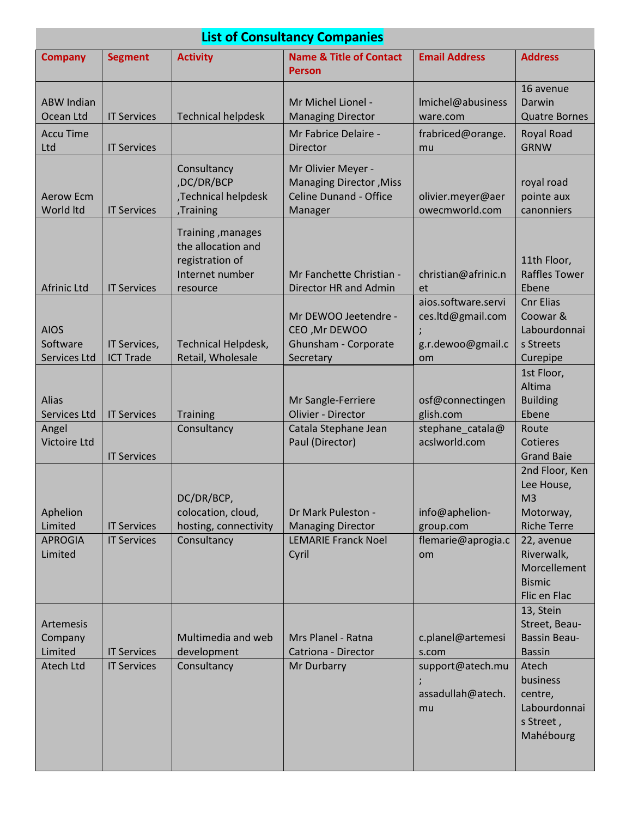| <b>List of Consultancy Companies</b>                  |                                                                |                                                                                           |                                                                                           |                                                                     |                                                                                                                                    |  |  |
|-------------------------------------------------------|----------------------------------------------------------------|-------------------------------------------------------------------------------------------|-------------------------------------------------------------------------------------------|---------------------------------------------------------------------|------------------------------------------------------------------------------------------------------------------------------------|--|--|
| <b>Company</b>                                        | <b>Segment</b>                                                 | <b>Activity</b>                                                                           | <b>Name &amp; Title of Contact</b><br><b>Person</b>                                       | <b>Email Address</b>                                                | <b>Address</b>                                                                                                                     |  |  |
| <b>ABW Indian</b><br>Ocean Ltd                        | <b>IT Services</b>                                             | <b>Technical helpdesk</b>                                                                 | Mr Michel Lionel -<br><b>Managing Director</b>                                            | Imichel@abusiness<br>ware.com                                       | 16 avenue<br>Darwin<br><b>Quatre Bornes</b>                                                                                        |  |  |
| <b>Accu Time</b><br>Ltd                               | <b>IT Services</b>                                             |                                                                                           | Mr Fabrice Delaire -<br>Director                                                          | frabriced@orange.<br>mu                                             | Royal Road<br><b>GRNW</b>                                                                                                          |  |  |
| <b>Aerow Ecm</b><br>World Itd                         | <b>IT Services</b>                                             | Consultancy<br>,DC/DR/BCP<br>,Technical helpdesk<br>,Training                             | Mr Olivier Meyer -<br>Managing Director, Miss<br><b>Celine Dunand - Office</b><br>Manager | olivier.meyer@aer<br>owecmworld.com                                 | royal road<br>pointe aux<br>canonniers                                                                                             |  |  |
| <b>Afrinic Ltd</b>                                    | <b>IT Services</b>                                             | Training, manages<br>the allocation and<br>registration of<br>Internet number<br>resource | Mr Fanchette Christian -<br>Director HR and Admin                                         | christian@afrinic.n<br>et                                           | 11th Floor,<br><b>Raffles Tower</b><br>Ebene                                                                                       |  |  |
| <b>AIOS</b><br>Software<br>Services Ltd               | IT Services,<br><b>ICT Trade</b>                               | Technical Helpdesk,<br>Retail, Wholesale                                                  | Mr DEWOO Jeetendre -<br>CEO, Mr DEWOO<br>Ghunsham - Corporate<br>Secretary                | aios.software.servi<br>ces.ltd@gmail.com<br>g.r.dewoo@gmail.c<br>om | <b>Cnr Elias</b><br>Coowar &<br>Labourdonnai<br>s Streets<br>Curepipe                                                              |  |  |
| Alias<br>Services Ltd<br>Angel<br><b>Victoire Ltd</b> | <b>IT Services</b>                                             | <b>Training</b><br>Consultancy                                                            | Mr Sangle-Ferriere<br>Olivier - Director<br>Catala Stephane Jean<br>Paul (Director)       | osf@connectingen<br>glish.com<br>stephane_catala@<br>acslworld.com  | 1st Floor,<br>Altima<br><b>Building</b><br>Ebene<br>Route<br><b>Cotieres</b>                                                       |  |  |
| Aphelion<br>Limited<br><b>APROGIA</b><br>Limited      | <b>IT Services</b><br><b>IT Services</b><br><b>IT Services</b> | DC/DR/BCP,<br>colocation, cloud,<br>hosting, connectivity<br>Consultancy                  | Dr Mark Puleston -<br><b>Managing Director</b><br><b>LEMARIE Franck Noel</b><br>Cyril     | info@aphelion-<br>group.com<br>flemarie@aprogia.c<br>om             | <b>Grand Baie</b><br>2nd Floor, Ken<br>Lee House,<br>M <sub>3</sub><br>Motorway,<br><b>Riche Terre</b><br>22, avenue<br>Riverwalk, |  |  |
|                                                       |                                                                |                                                                                           |                                                                                           |                                                                     | Morcellement<br><b>Bismic</b><br>Flic en Flac<br>13, Stein                                                                         |  |  |
| Artemesis<br>Company<br>Limited                       | <b>IT Services</b>                                             | Multimedia and web<br>development                                                         | Mrs Planel - Ratna<br>Catriona - Director                                                 | c.planel@artemesi<br>s.com                                          | Street, Beau-<br><b>Bassin Beau-</b><br><b>Bassin</b>                                                                              |  |  |
| Atech Ltd                                             | <b>IT Services</b>                                             | Consultancy                                                                               | Mr Durbarry                                                                               | support@atech.mu<br>assadullah@atech.<br>mu                         | Atech<br>business<br>centre,<br>Labourdonnai<br>s Street,<br>Mahébourg                                                             |  |  |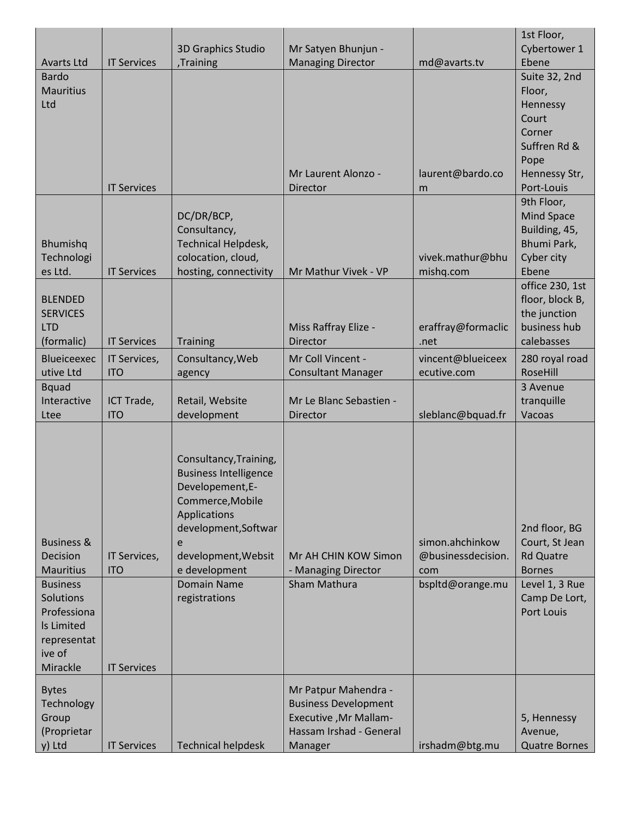|                       |                    |                              |                              |                    | 1st Floor,           |
|-----------------------|--------------------|------------------------------|------------------------------|--------------------|----------------------|
|                       |                    | 3D Graphics Studio           | Mr Satyen Bhunjun -          |                    | Cybertower 1         |
| <b>Avarts Ltd</b>     | <b>IT Services</b> | ,Training                    | <b>Managing Director</b>     | md@avarts.tv       | Ebene                |
| <b>Bardo</b>          |                    |                              |                              |                    | Suite 32, 2nd        |
| <b>Mauritius</b>      |                    |                              |                              |                    | Floor,               |
| Ltd                   |                    |                              |                              |                    | Hennessy             |
|                       |                    |                              |                              |                    | Court                |
|                       |                    |                              |                              |                    | Corner               |
|                       |                    |                              |                              |                    | Suffren Rd &         |
|                       |                    |                              |                              |                    | Pope                 |
|                       |                    |                              | Mr Laurent Alonzo -          | laurent@bardo.co   | Hennessy Str,        |
|                       | <b>IT Services</b> |                              | Director                     | m                  | Port-Louis           |
|                       |                    |                              |                              |                    | 9th Floor,           |
|                       |                    | DC/DR/BCP,                   |                              |                    | Mind Space           |
|                       |                    | Consultancy,                 |                              |                    | Building, 45,        |
| Bhumishq              |                    | Technical Helpdesk,          |                              |                    | Bhumi Park,          |
| Technologi            |                    | colocation, cloud,           |                              | vivek.mathur@bhu   | Cyber city           |
| es Ltd.               | <b>IT Services</b> | hosting, connectivity        | Mr Mathur Vivek - VP         | mishq.com          | Ebene                |
|                       |                    |                              |                              |                    | office 230, 1st      |
| <b>BLENDED</b>        |                    |                              |                              |                    | floor, block B,      |
| <b>SERVICES</b>       |                    |                              |                              |                    | the junction         |
| <b>LTD</b>            |                    |                              | Miss Raffray Elize -         | eraffray@formaclic | business hub         |
| (formalic)            | <b>IT Services</b> | Training                     | Director                     | .net               | calebasses           |
| Blueiceexec           | IT Services,       | Consultancy, Web             | Mr Coll Vincent -            | vincent@blueiceex  | 280 royal road       |
| utive Ltd             | <b>ITO</b>         | agency                       | <b>Consultant Manager</b>    | ecutive.com        | RoseHill             |
| <b>Bquad</b>          |                    |                              |                              |                    | 3 Avenue             |
| Interactive           | ICT Trade,         | Retail, Website              | Mr Le Blanc Sebastien -      |                    | tranquille           |
| Ltee                  | <b>ITO</b>         | development                  | Director                     | sleblanc@bquad.fr  | Vacoas               |
|                       |                    |                              |                              |                    |                      |
|                       |                    |                              |                              |                    |                      |
|                       |                    | Consultancy, Training,       |                              |                    |                      |
|                       |                    | <b>Business Intelligence</b> |                              |                    |                      |
|                       |                    | Developement, E-             |                              |                    |                      |
|                       |                    | Commerce, Mobile             |                              |                    |                      |
|                       |                    | Applications                 |                              |                    |                      |
|                       |                    | development, Softwar         |                              |                    | 2nd floor, BG        |
| <b>Business &amp;</b> |                    | e                            |                              | simon.ahchinkow    | Court, St Jean       |
| Decision              | IT Services,       | development, Websit          | Mr AH CHIN KOW Simon         | @businessdecision. | <b>Rd Quatre</b>     |
| <b>Mauritius</b>      | <b>ITO</b>         | e development                | - Managing Director          | com                | <b>Bornes</b>        |
| <b>Business</b>       |                    | <b>Domain Name</b>           | Sham Mathura                 | bspltd@orange.mu   | Level 1, 3 Rue       |
| Solutions             |                    | registrations                |                              |                    | Camp De Lort,        |
| Professiona           |                    |                              |                              |                    | <b>Port Louis</b>    |
| Is Limited            |                    |                              |                              |                    |                      |
| representat           |                    |                              |                              |                    |                      |
| ive of                |                    |                              |                              |                    |                      |
| Mirackle              | <b>IT Services</b> |                              |                              |                    |                      |
|                       |                    |                              |                              |                    |                      |
| <b>Bytes</b>          |                    |                              | Mr Patpur Mahendra -         |                    |                      |
| Technology            |                    |                              | <b>Business Development</b>  |                    |                      |
| Group                 |                    |                              | <b>Executive, Mr Mallam-</b> |                    | 5, Hennessy          |
| (Proprietar           |                    |                              | Hassam Irshad - General      |                    | Avenue,              |
| y) Ltd                | <b>IT Services</b> | <b>Technical helpdesk</b>    | Manager                      | irshadm@btg.mu     | <b>Quatre Bornes</b> |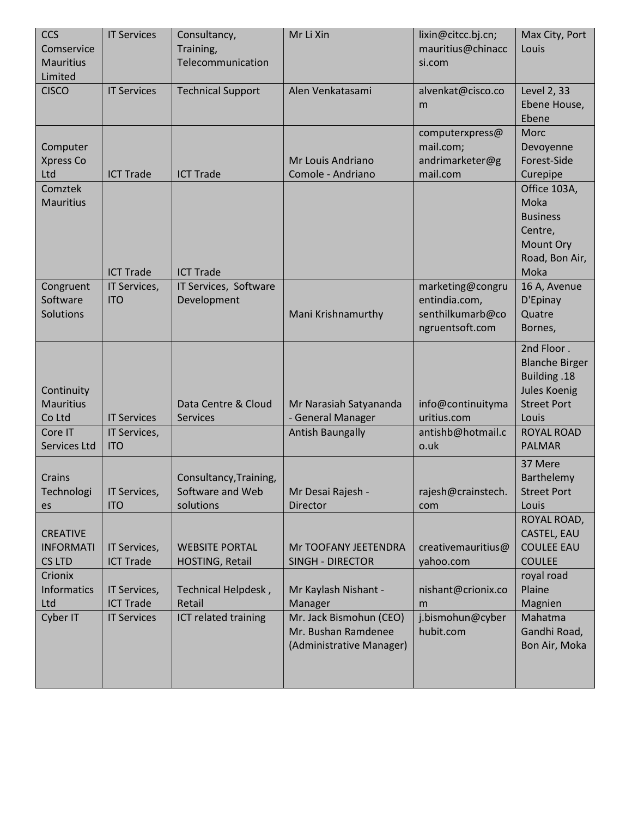| <b>CCS</b><br>Comservice            | <b>IT Services</b>         | Consultancy,<br>Training,                  | Mr Li Xin                                      | lixin@citcc.bj.cn;<br>mauritius@chinacc | Max City, Port<br>Louis             |
|-------------------------------------|----------------------------|--------------------------------------------|------------------------------------------------|-----------------------------------------|-------------------------------------|
| <b>Mauritius</b>                    |                            | Telecommunication                          |                                                | si.com                                  |                                     |
| Limited<br><b>CISCO</b>             | <b>IT Services</b>         | <b>Technical Support</b>                   | Alen Venkatasami                               | alvenkat@cisco.co                       | Level 2, 33                         |
|                                     |                            |                                            |                                                | m                                       | Ebene House,<br>Ebene               |
|                                     |                            |                                            |                                                | computerxpress@                         | Morc                                |
| Computer<br>Xpress Co               |                            |                                            | Mr Louis Andriano                              | mail.com;<br>andrimarketer@g            | Devoyenne<br>Forest-Side            |
| Ltd                                 | <b>ICT Trade</b>           | <b>ICT Trade</b>                           | Comole - Andriano                              | mail.com                                | Curepipe                            |
| Comztek<br><b>Mauritius</b>         |                            |                                            |                                                |                                         | Office 103A,<br>Moka                |
|                                     |                            |                                            |                                                |                                         | <b>Business</b>                     |
|                                     |                            |                                            |                                                |                                         | Centre,<br>Mount Ory                |
|                                     |                            |                                            |                                                |                                         | Road, Bon Air,                      |
|                                     | <b>ICT Trade</b>           | <b>ICT Trade</b>                           |                                                |                                         | Moka                                |
| Congruent<br>Software               | IT Services,<br><b>ITO</b> | IT Services, Software<br>Development       |                                                | marketing@congru<br>entindia.com,       | 16 A, Avenue<br>D'Epinay            |
| Solutions                           |                            |                                            | Mani Krishnamurthy                             | senthilkumarb@co                        | Quatre                              |
|                                     |                            |                                            |                                                | ngruentsoft.com                         | Bornes,                             |
|                                     |                            |                                            |                                                |                                         | 2nd Floor.<br><b>Blanche Birger</b> |
|                                     |                            |                                            |                                                |                                         | <b>Building .18</b>                 |
| Continuity<br><b>Mauritius</b>      |                            | Data Centre & Cloud                        | Mr Narasiah Satyananda                         | info@continuityma                       | Jules Koenig<br><b>Street Port</b>  |
| Co Ltd                              | <b>IT Services</b>         | Services                                   | - General Manager                              | uritius.com                             | Louis                               |
| Core IT<br>Services Ltd             | IT Services,<br><b>ITO</b> |                                            | <b>Antish Baungally</b>                        | antishb@hotmail.c<br>o.uk               | <b>ROYAL ROAD</b><br><b>PALMAR</b>  |
|                                     |                            |                                            |                                                |                                         | 37 Mere                             |
| Crains<br>Technologi   IT Services, |                            | Consultancy, Training,<br>Software and Web | Mr Desai Rajesh -                              | rajesh@crainstech.                      | Barthelemy<br><b>Street Port</b>    |
| es                                  | <b>ITO</b>                 | solutions                                  | <b>Director</b>                                | com                                     | Louis                               |
|                                     |                            |                                            |                                                |                                         | ROYAL ROAD,                         |
| <b>CREATIVE</b><br><b>INFORMATI</b> | IT Services,               | <b>WEBSITE PORTAL</b>                      | Mr TOOFANY JEETENDRA                           | creativemauritius@                      | CASTEL, EAU<br><b>COULEE EAU</b>    |
| <b>CS LTD</b>                       | <b>ICT Trade</b>           | HOSTING, Retail                            | <b>SINGH - DIRECTOR</b>                        | yahoo.com                               | <b>COULEE</b>                       |
| Crionix<br>Informatics              | IT Services,               | Technical Helpdesk,                        | Mr Kaylash Nishant -                           | nishant@crionix.co                      | royal road<br>Plaine                |
| Ltd                                 | <b>ICT Trade</b>           | Retail                                     | Manager                                        | m                                       | Magnien                             |
| Cyber IT                            | <b>IT Services</b>         | ICT related training                       | Mr. Jack Bismohun (CEO)<br>Mr. Bushan Ramdenee | j.bismohun@cyber<br>hubit.com           | Mahatma<br>Gandhi Road,             |
|                                     |                            |                                            | (Administrative Manager)                       |                                         | Bon Air, Moka                       |
|                                     |                            |                                            |                                                |                                         |                                     |
|                                     |                            |                                            |                                                |                                         |                                     |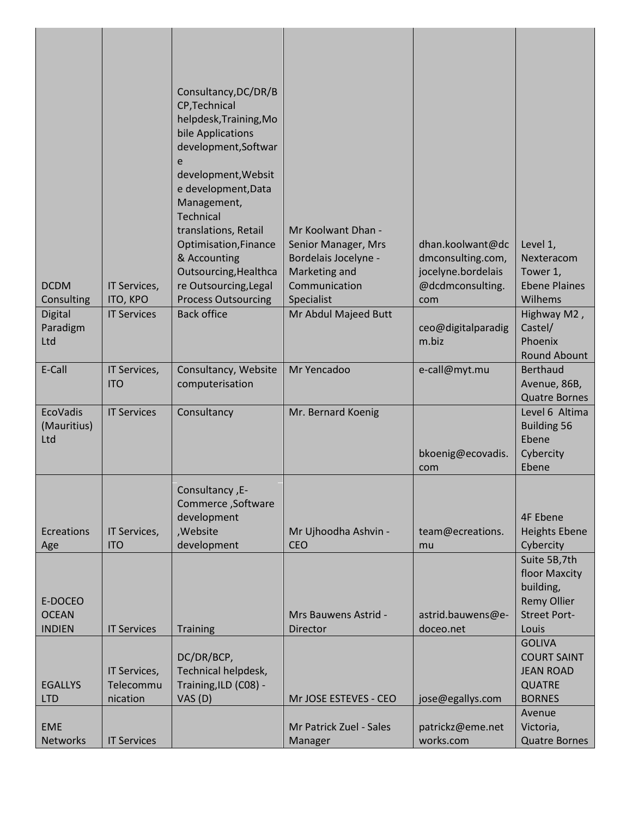| <b>DCDM</b><br>Consulting<br><b>Digital</b><br>Paradigm<br>Ltd | IT Services,<br>ITO, KPO<br><b>IT Services</b> | Consultancy, DC/DR/B<br>CP, Technical<br>helpdesk, Training, Mo<br>bile Applications<br>development, Softwar<br>e<br>development, Websit<br>e development, Data<br>Management,<br>Technical<br>translations, Retail<br>Optimisation, Finance<br>& Accounting<br>Outsourcing, Healthca<br>re Outsourcing, Legal<br><b>Process Outsourcing</b><br><b>Back office</b> | Mr Koolwant Dhan -<br>Senior Manager, Mrs<br>Bordelais Jocelyne -<br>Marketing and<br>Communication<br>Specialist<br>Mr Abdul Majeed Butt | dhan.koolwant@dc<br>dmconsulting.com,<br>jocelyne.bordelais<br>@dcdmconsulting.<br>com<br>ceo@digitalparadig<br>m.biz | Level 1,<br>Nexteracom<br>Tower 1,<br><b>Ebene Plaines</b><br>Wilhems<br>Highway M2,<br>Castel/<br>Phoenix |
|----------------------------------------------------------------|------------------------------------------------|--------------------------------------------------------------------------------------------------------------------------------------------------------------------------------------------------------------------------------------------------------------------------------------------------------------------------------------------------------------------|-------------------------------------------------------------------------------------------------------------------------------------------|-----------------------------------------------------------------------------------------------------------------------|------------------------------------------------------------------------------------------------------------|
| E-Call                                                         | IT Services,<br><b>ITO</b>                     | Consultancy, Website<br>computerisation                                                                                                                                                                                                                                                                                                                            | Mr Yencadoo                                                                                                                               | e-call@myt.mu                                                                                                         | <b>Round Abount</b><br><b>Berthaud</b><br>Avenue, 86B,<br><b>Quatre Bornes</b>                             |
| EcoVadis<br>(Mauritius)<br>Ltd                                 | <b>IT Services</b>                             | Consultancy                                                                                                                                                                                                                                                                                                                                                        | Mr. Bernard Koenig                                                                                                                        | bkoenig@ecovadis.<br>com                                                                                              | Level 6 Altima<br><b>Building 56</b><br>Ebene<br>Cybercity<br>Ebene                                        |
| Ecreations<br>Age                                              | IT Services,<br><b>ITO</b>                     | Consultancy, E-<br>Commerce, Software<br>development<br>,Website<br>development                                                                                                                                                                                                                                                                                    | Mr Ujhoodha Ashvin -<br><b>CEO</b>                                                                                                        | team@ecreations.<br>mu                                                                                                | <b>4F Ebene</b><br><b>Heights Ebene</b><br>Cybercity                                                       |
| E-DOCEO<br><b>OCEAN</b><br><b>INDIEN</b>                       | <b>IT Services</b>                             | <b>Training</b>                                                                                                                                                                                                                                                                                                                                                    | Mrs Bauwens Astrid -<br>Director                                                                                                          | astrid.bauwens@e-<br>doceo.net                                                                                        | Suite 5B,7th<br>floor Maxcity<br>building,<br><b>Remy Ollier</b><br><b>Street Port-</b><br>Louis           |
| <b>EGALLYS</b><br><b>LTD</b>                                   | IT Services,<br>Telecommu<br>nication          | DC/DR/BCP,<br>Technical helpdesk,<br>Training, ILD (C08) -<br>VAS (D)                                                                                                                                                                                                                                                                                              | Mr JOSE ESTEVES - CEO                                                                                                                     | jose@egallys.com                                                                                                      | <b>GOLIVA</b><br><b>COURT SAINT</b><br><b>JEAN ROAD</b><br><b>QUATRE</b><br><b>BORNES</b>                  |
| <b>EME</b><br><b>Networks</b>                                  | <b>IT Services</b>                             |                                                                                                                                                                                                                                                                                                                                                                    | Mr Patrick Zuel - Sales<br>Manager                                                                                                        | patrickz@eme.net<br>works.com                                                                                         | Avenue<br>Victoria,<br><b>Quatre Bornes</b>                                                                |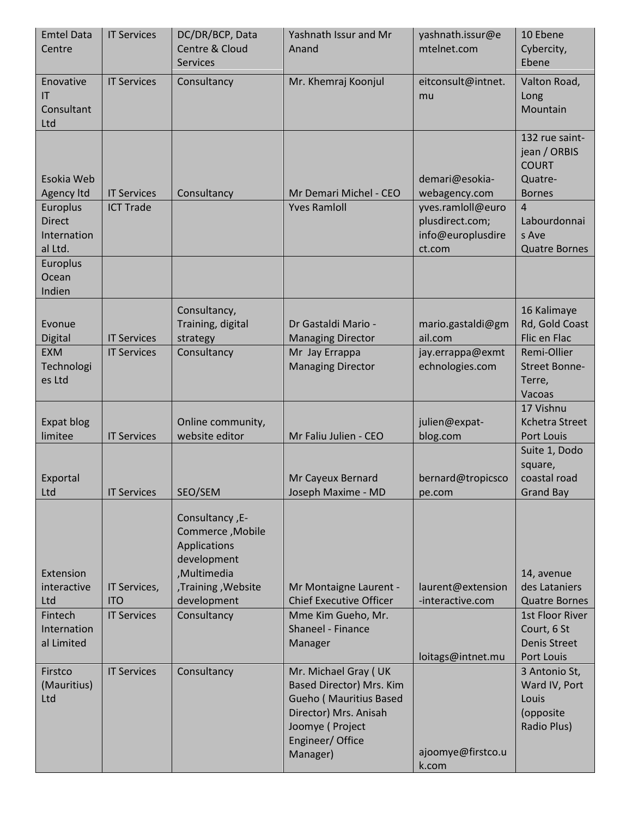| <b>Emtel Data</b><br>Centre                                                                 | <b>IT Services</b>                               | DC/DR/BCP, Data<br>Centre & Cloud<br><b>Services</b>                                                                                   | Yashnath Issur and Mr<br>Anand                                                                                                                         | yashnath.issur@e<br>mtelnet.com                                                                        | 10 Ebene<br>Cybercity,<br>Ebene                                                                                                               |
|---------------------------------------------------------------------------------------------|--------------------------------------------------|----------------------------------------------------------------------------------------------------------------------------------------|--------------------------------------------------------------------------------------------------------------------------------------------------------|--------------------------------------------------------------------------------------------------------|-----------------------------------------------------------------------------------------------------------------------------------------------|
| Enovative<br>IT<br>Consultant<br>Ltd                                                        | <b>IT Services</b>                               | Consultancy                                                                                                                            | Mr. Khemraj Koonjul                                                                                                                                    | eitconsult@intnet.<br>mu                                                                               | Valton Road,<br>Long<br>Mountain                                                                                                              |
| Esokia Web<br>Agency Itd<br>Europlus<br><b>Direct</b><br>Internation<br>al Ltd.<br>Europlus | <b>IT Services</b><br><b>ICT Trade</b>           | Consultancy                                                                                                                            | Mr Demari Michel - CEO<br><b>Yves Ramloll</b>                                                                                                          | demari@esokia-<br>webagency.com<br>yves.ramloll@euro<br>plusdirect.com;<br>info@europlusdire<br>ct.com | 132 rue saint-<br>jean / ORBIS<br><b>COURT</b><br>Quatre-<br><b>Bornes</b><br>$\overline{4}$<br>Labourdonnai<br>s Ave<br><b>Quatre Bornes</b> |
| Ocean<br>Indien                                                                             |                                                  |                                                                                                                                        |                                                                                                                                                        |                                                                                                        |                                                                                                                                               |
| Evonue<br>Digital<br><b>EXM</b><br>Technologi<br>es Ltd                                     | <b>IT Services</b><br><b>IT Services</b>         | Consultancy,<br>Training, digital<br>strategy<br>Consultancy                                                                           | Dr Gastaldi Mario -<br><b>Managing Director</b><br>Mr Jay Errappa<br><b>Managing Director</b>                                                          | mario.gastaldi@gm<br>ail.com<br>jay.errappa@exmt<br>echnologies.com                                    | 16 Kalimaye<br>Rd, Gold Coast<br>Flic en Flac<br>Remi-Ollier<br>Street Bonne-<br>Terre,                                                       |
|                                                                                             |                                                  |                                                                                                                                        |                                                                                                                                                        |                                                                                                        | Vacoas<br>17 Vishnu                                                                                                                           |
| Expat blog<br>limitee                                                                       | <b>IT Services</b>                               | Online community,<br>website editor                                                                                                    | Mr Faliu Julien - CEO                                                                                                                                  | julien@expat-<br>blog.com                                                                              | Kchetra Street<br>Port Louis                                                                                                                  |
| Exportal<br>Ltd                                                                             | <b>IT Services</b>                               | SEO/SEM                                                                                                                                | Mr Cayeux Bernard<br>Joseph Maxime - MD                                                                                                                | bernard@tropicsco<br>pe.com                                                                            | Suite 1, Dodo<br>square,<br>coastal road<br><b>Grand Bay</b>                                                                                  |
| Extension<br>interactive<br>Ltd<br>Fintech<br>Internation<br>al Limited                     | IT Services,<br><b>ITO</b><br><b>IT Services</b> | -E-, Consultancy<br>Commerce, Mobile<br>Applications<br>development<br>,Multimedia<br>,Training, Website<br>development<br>Consultancy | Mr Montaigne Laurent -<br><b>Chief Executive Officer</b><br>Mme Kim Gueho, Mr.<br>Shaneel - Finance<br>Manager                                         | laurent@extension<br>-interactive.com<br>loitags@intnet.mu                                             | 14, avenue<br>des Lataniers<br><b>Quatre Bornes</b><br>1st Floor River<br>Court, 6 St<br>Denis Street<br>Port Louis                           |
| Firstco<br>(Mauritius)<br>Ltd                                                               | <b>IT Services</b>                               | Consultancy                                                                                                                            | Mr. Michael Gray (UK<br>Based Director) Mrs. Kim<br>Gueho (Mauritius Based<br>Director) Mrs. Anisah<br>Joomye (Project<br>Engineer/ Office<br>Manager) | ajoomye@firstco.u                                                                                      | 3 Antonio St,<br>Ward IV, Port<br>Louis<br>(opposite<br>Radio Plus)                                                                           |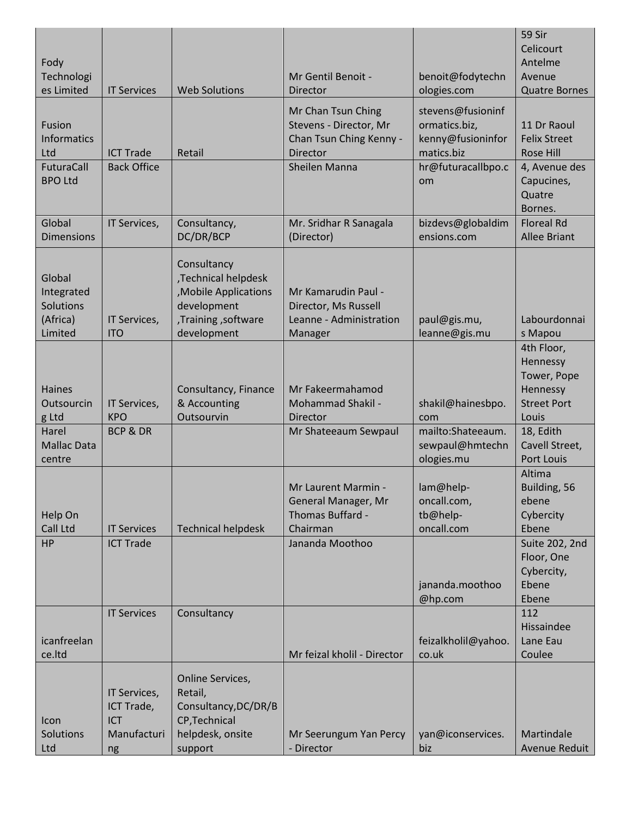| Fody<br>Technologi                                              |                                                               |                                                                                                                  | Mr Gentil Benoit -                                                                  | benoit@fodytechn                                                      | 59 Sir<br>Celicourt<br>Antelme<br>Avenue                                         |
|-----------------------------------------------------------------|---------------------------------------------------------------|------------------------------------------------------------------------------------------------------------------|-------------------------------------------------------------------------------------|-----------------------------------------------------------------------|----------------------------------------------------------------------------------|
| es Limited                                                      | <b>IT Services</b>                                            | <b>Web Solutions</b>                                                                                             | Director                                                                            | ologies.com                                                           | <b>Quatre Bornes</b>                                                             |
| Fusion<br><b>Informatics</b><br>Ltd                             | <b>ICT Trade</b>                                              | Retail                                                                                                           | Mr Chan Tsun Ching<br>Stevens - Director, Mr<br>Chan Tsun Ching Kenny -<br>Director | stevens@fusioninf<br>ormatics.biz,<br>kenny@fusioninfor<br>matics.biz | 11 Dr Raoul<br><b>Felix Street</b><br><b>Rose Hill</b>                           |
| FuturaCall<br><b>BPO Ltd</b>                                    | <b>Back Office</b>                                            |                                                                                                                  | <b>Sheilen Manna</b>                                                                | hr@futuracallbpo.c<br>om                                              | 4, Avenue des<br>Capucines,<br>Quatre<br>Bornes.                                 |
| Global<br><b>Dimensions</b>                                     | IT Services,                                                  | Consultancy,<br>DC/DR/BCP                                                                                        | Mr. Sridhar R Sanagala<br>(Director)                                                | bizdevs@globaldim<br>ensions.com                                      | <b>Floreal Rd</b><br><b>Allee Briant</b>                                         |
| Global<br>Integrated<br><b>Solutions</b><br>(Africa)<br>Limited | IT Services,<br><b>ITO</b>                                    | Consultancy<br>,Technical helpdesk<br>, Mobile Applications<br>development<br>,Training, software<br>development | Mr Kamarudin Paul -<br>Director, Ms Russell<br>Leanne - Administration<br>Manager   | paul@gis.mu,<br>leanne@gis.mu                                         | Labourdonnai<br>s Mapou                                                          |
| <b>Haines</b><br>Outsourcin<br>g Ltd                            | IT Services,<br><b>KPO</b>                                    | Consultancy, Finance<br>& Accounting<br>Outsourvin                                                               | Mr Fakeermahamod<br><b>Mohammad Shakil -</b><br>Director                            | shakil@hainesbpo.<br>com                                              | 4th Floor,<br>Hennessy<br>Tower, Pope<br>Hennessy<br><b>Street Port</b><br>Louis |
| Harel<br><b>Mallac Data</b><br>centre                           | <b>BCP &amp; DR</b>                                           |                                                                                                                  | Mr Shateeaum Sewpaul                                                                | mailto:Shateeaum.<br>sewpaul@hmtechn<br>ologies.mu                    | 18, Edith<br>Cavell Street,<br><b>Port Louis</b>                                 |
| Help On<br>Call Ltd                                             | <b>IT Services</b>                                            | <b>Technical helpdesk</b>                                                                                        | Mr Laurent Marmin -<br>General Manager, Mr<br>Thomas Buffard -<br>Chairman          | lam@help-<br>oncall.com,<br>tb@help-<br>oncall.com                    | Altima<br>Building, 56<br>ebene<br>Cybercity<br>Ebene                            |
| HP                                                              | <b>ICT Trade</b>                                              |                                                                                                                  | Jananda Moothoo                                                                     | jananda.moothoo<br>@hp.com                                            | Suite 202, 2nd<br>Floor, One<br>Cybercity,<br>Ebene<br>Ebene                     |
| icanfreelan<br>ce.ltd                                           | <b>IT Services</b>                                            | Consultancy                                                                                                      | Mr feizal kholil - Director                                                         | feizalkholil@yahoo.<br>co.uk                                          | 112<br>Hissaindee<br>Lane Eau<br>Coulee                                          |
| Icon<br>Solutions<br>Ltd                                        | IT Services,<br>ICT Trade,<br><b>ICT</b><br>Manufacturi<br>ng | Online Services,<br>Retail,<br>Consultancy, DC/DR/B<br>CP, Technical<br>helpdesk, onsite<br>support              | Mr Seerungum Yan Percy<br>- Director                                                | yan@iconservices.<br>biz                                              | Martindale<br>Avenue Reduit                                                      |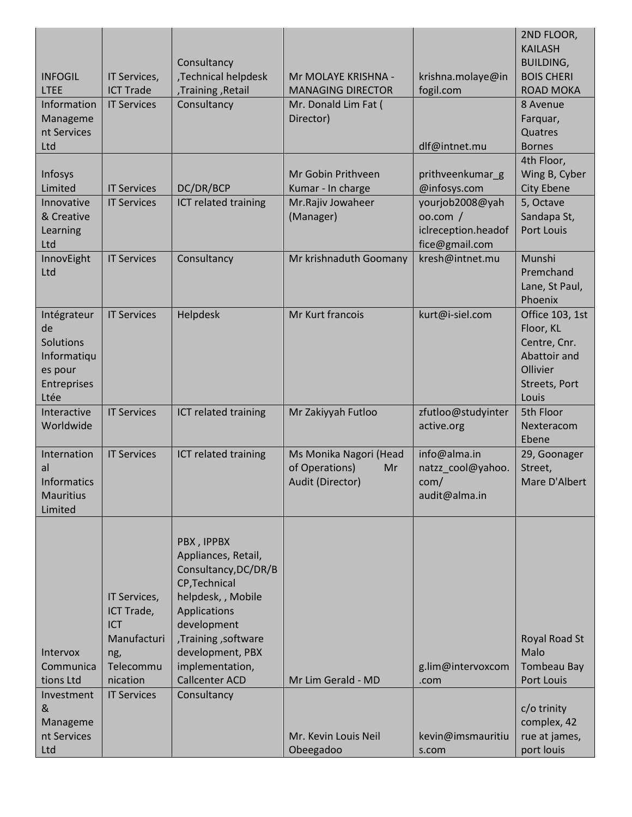| <b>INFOGIL</b><br><b>LTEE</b><br>Information<br>Manageme<br>nt Services<br>Ltd  | IT Services,<br><b>ICT Trade</b><br><b>IT Services</b>                           | Consultancy<br>,Technical helpdesk<br>,Training, Retail<br>Consultancy                                                                                                                                                 | Mr MOLAYE KRISHNA -<br><b>MANAGING DIRECTOR</b><br>Mr. Donald Lim Fat (<br>Director) | krishna.molaye@in<br>fogil.com<br>dlf@intnet.mu            | 2ND FLOOR,<br><b>KAILASH</b><br><b>BUILDING,</b><br><b>BOIS CHERI</b><br><b>ROAD MOKA</b><br>8 Avenue<br>Farquar,<br>Quatres<br><b>Bornes</b> |
|---------------------------------------------------------------------------------|----------------------------------------------------------------------------------|------------------------------------------------------------------------------------------------------------------------------------------------------------------------------------------------------------------------|--------------------------------------------------------------------------------------|------------------------------------------------------------|-----------------------------------------------------------------------------------------------------------------------------------------------|
|                                                                                 |                                                                                  |                                                                                                                                                                                                                        |                                                                                      |                                                            | 4th Floor,                                                                                                                                    |
| Infosys<br>Limited                                                              | <b>IT Services</b>                                                               | DC/DR/BCP                                                                                                                                                                                                              | Mr Gobin Prithveen<br>Kumar - In charge                                              | prithveenkumar_g<br>@infosys.com                           | Wing B, Cyber<br><b>City Ebene</b>                                                                                                            |
| Innovative                                                                      | <b>IT Services</b>                                                               | ICT related training                                                                                                                                                                                                   | Mr.Rajiv Jowaheer                                                                    | yourjob2008@yah                                            | 5, Octave                                                                                                                                     |
| & Creative<br>Learning<br>Ltd                                                   |                                                                                  |                                                                                                                                                                                                                        | (Manager)                                                                            | 00.com/<br>iclreception.headof<br>fice@gmail.com           | Sandapa St,<br>Port Louis                                                                                                                     |
| InnovEight<br>Ltd                                                               | <b>IT Services</b>                                                               | Consultancy                                                                                                                                                                                                            | Mr krishnaduth Goomany                                                               | kresh@intnet.mu                                            | Munshi<br>Premchand<br>Lane, St Paul,<br>Phoenix                                                                                              |
| Intégrateur<br>de<br>Solutions<br>Informatiqu<br>es pour<br>Entreprises<br>Ltée | <b>IT Services</b>                                                               | Helpdesk                                                                                                                                                                                                               | Mr Kurt francois                                                                     | kurt@i-siel.com                                            | Office 103, 1st<br>Floor, KL<br>Centre, Cnr.<br>Abattoir and<br>Ollivier<br>Streets, Port<br>Louis                                            |
| Interactive<br>Worldwide                                                        | <b>IT Services</b>                                                               | ICT related training                                                                                                                                                                                                   | Mr Zakiyyah Futloo                                                                   | zfutloo@studyinter<br>active.org                           | 5th Floor<br>Nexteracom<br>Ebene                                                                                                              |
| Internation<br>al<br><b>Informatics</b><br><b>Mauritius</b><br>Limited          | <b>IT Services</b>                                                               | ICT related training                                                                                                                                                                                                   | Ms Monika Nagori (Head<br>of Operations)<br>Mr<br>Audit (Director)                   | info@alma.in<br>natzz cool@yahoo.<br>com/<br>audit@alma.in | 29, Goonager<br>Street,<br>Mare D'Albert                                                                                                      |
| Intervox<br>Communica<br>tions Ltd                                              | IT Services,<br>ICT Trade,<br>ICT<br>Manufacturi<br>ng,<br>Telecommu<br>nication | PBX, IPPBX<br>Appliances, Retail,<br>Consultancy, DC/DR/B<br>CP, Technical<br>helpdesk, , Mobile<br>Applications<br>development<br>,Training, software<br>development, PBX<br>implementation,<br><b>Callcenter ACD</b> | Mr Lim Gerald - MD                                                                   | g.lim@intervoxcom<br>.com                                  | Royal Road St<br>Malo<br><b>Tombeau Bay</b><br>Port Louis                                                                                     |
| Investment<br>&<br>Manageme<br>nt Services<br>Ltd                               | <b>IT Services</b>                                                               | Consultancy                                                                                                                                                                                                            | Mr. Kevin Louis Neil<br>Obeegadoo                                                    | kevin@imsmauritiu<br>s.com                                 | c/o trinity<br>complex, 42<br>rue at james,<br>port louis                                                                                     |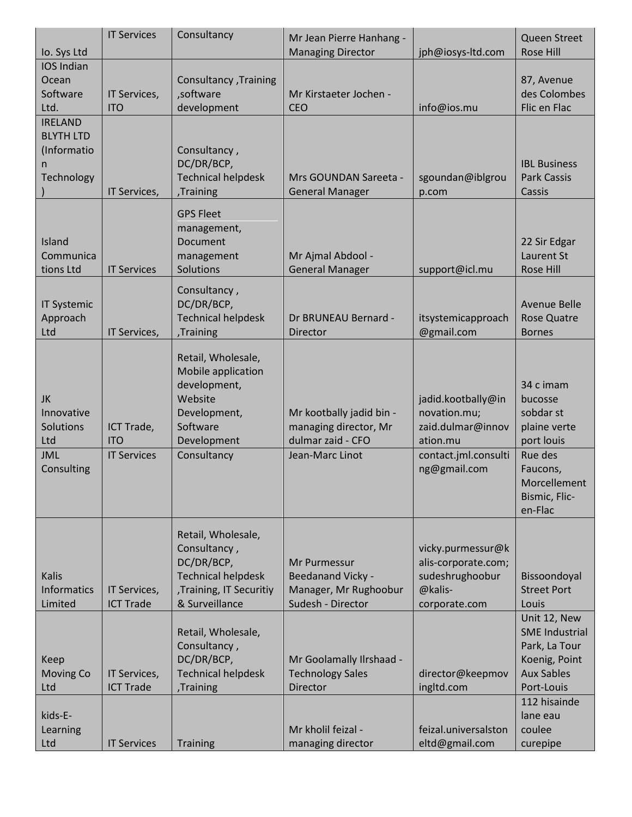|                                                                      | <b>IT Services</b>                             | Consultancy                                                                                                                                       | Mr Jean Pierre Hanhang -                                                                  |                                                                                                             | <b>Queen Street</b>                                                                                                                |
|----------------------------------------------------------------------|------------------------------------------------|---------------------------------------------------------------------------------------------------------------------------------------------------|-------------------------------------------------------------------------------------------|-------------------------------------------------------------------------------------------------------------|------------------------------------------------------------------------------------------------------------------------------------|
| Io. Sys Ltd                                                          |                                                |                                                                                                                                                   | <b>Managing Director</b>                                                                  | jph@iosys-ltd.com                                                                                           | <b>Rose Hill</b>                                                                                                                   |
| IOS Indian<br>Ocean<br>Software<br>Ltd.                              | IT Services,<br><b>ITO</b>                     | Consultancy , Training<br>,software<br>development                                                                                                | Mr Kirstaeter Jochen -<br>CEO                                                             | info@ios.mu                                                                                                 | 87, Avenue<br>des Colombes<br>Flic en Flac                                                                                         |
| <b>IRELAND</b><br><b>BLYTH LTD</b><br>(Informatio<br>n<br>Technology | IT Services,                                   | Consultancy,<br>DC/DR/BCP,<br><b>Technical helpdesk</b><br>,Training                                                                              | Mrs GOUNDAN Sareeta -<br><b>General Manager</b>                                           | sgoundan@iblgrou<br>p.com                                                                                   | <b>IBL Business</b><br><b>Park Cassis</b><br>Cassis                                                                                |
| Island<br>Communica<br>tions Ltd                                     | <b>IT Services</b>                             | <b>GPS Fleet</b><br>management,<br>Document<br>management<br>Solutions                                                                            | Mr Ajmal Abdool -<br><b>General Manager</b>                                               | support@icl.mu                                                                                              | 22 Sir Edgar<br>Laurent St<br><b>Rose Hill</b>                                                                                     |
| <b>IT Systemic</b><br>Approach<br>Ltd                                | IT Services,                                   | Consultancy,<br>DC/DR/BCP,<br><b>Technical helpdesk</b><br>Training,                                                                              | Dr BRUNEAU Bernard -<br><b>Director</b>                                                   | itsystemicapproach<br>@gmail.com                                                                            | <b>Avenue Belle</b><br><b>Rose Quatre</b><br><b>Bornes</b>                                                                         |
| JK<br>Innovative<br>Solutions<br>Ltd<br><b>JML</b><br>Consulting     | ICT Trade,<br><b>ITO</b><br><b>IT Services</b> | Retail, Wholesale,<br>Mobile application<br>development,<br>Website<br>Development,<br>Software<br>Development<br>Consultancy                     | Mr kootbally jadid bin -<br>managing director, Mr<br>dulmar zaid - CFO<br>Jean-Marc Linot | jadid.kootbally@in<br>novation.mu;<br>zaid.dulmar@innov<br>ation.mu<br>contact.jml.consulti<br>ng@gmail.com | 34 c imam<br>bucosse<br>sobdar st<br>plaine verte<br>port louis<br>Rue des<br>Faucons,<br>Morcellement<br>Bismic, Flic-<br>en-Flac |
| <b>Kalis</b><br><b>Informatics</b><br>Limited                        | IT Services,<br><b>ICT Trade</b>               | Retail, Wholesale,<br>Consultancy,<br>DC/DR/BCP,<br><b>Technical helpdesk</b><br>, Training, IT Securitiy<br>& Surveillance<br>Retail, Wholesale, | Mr Purmessur<br><b>Beedanand Vicky -</b><br>Manager, Mr Rughoobur<br>Sudesh - Director    | vicky.purmessur@k<br>alis-corporate.com;<br>sudeshrughoobur<br>@kalis-<br>corporate.com                     | Bissoondoyal<br><b>Street Port</b><br>Louis<br>Unit 12, New<br><b>SME Industrial</b>                                               |
| Keep<br><b>Moving Co</b><br>Ltd                                      | IT Services,<br><b>ICT Trade</b>               | Consultancy,<br>DC/DR/BCP,<br><b>Technical helpdesk</b><br>,Training                                                                              | Mr Goolamally Ilrshaad -<br><b>Technology Sales</b><br><b>Director</b>                    | director@keepmov<br>ingltd.com                                                                              | Park, La Tour<br>Koenig, Point<br><b>Aux Sables</b><br>Port-Louis                                                                  |
| kids-E-<br>Learning<br>Ltd                                           | <b>IT Services</b>                             | <b>Training</b>                                                                                                                                   | Mr kholil feizal -<br>managing director                                                   | feizal.universalston<br>eltd@gmail.com                                                                      | 112 hisainde<br>lane eau<br>coulee<br>curepipe                                                                                     |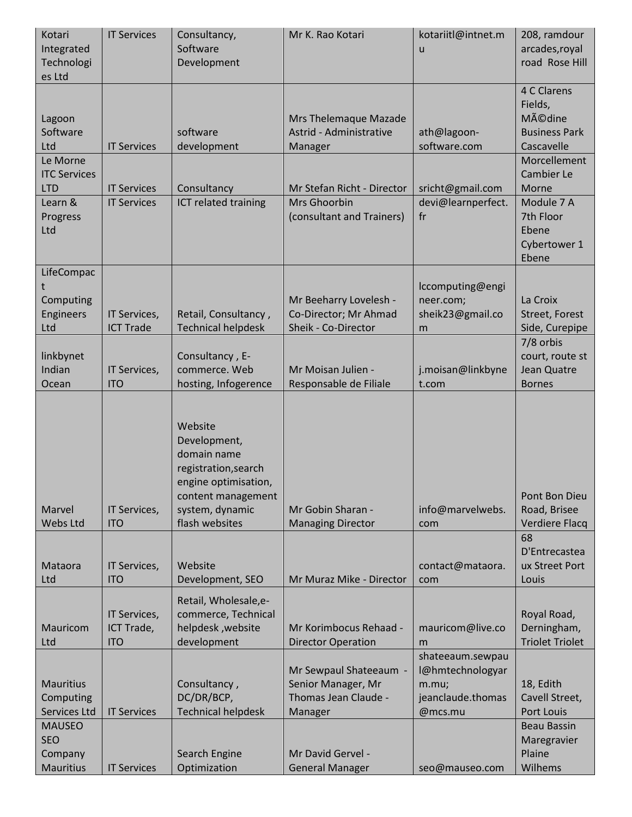| Kotari<br>Integrated<br>Technologi<br>es Ltd        | <b>IT Services</b>                       | Consultancy,<br>Software<br>Development                                                                                                           | Mr K. Rao Kotari                                                                | kotariitl@intnet.m<br>u                                                       | 208, ramdour<br>arcades, royal<br>road Rose Hill                              |
|-----------------------------------------------------|------------------------------------------|---------------------------------------------------------------------------------------------------------------------------------------------------|---------------------------------------------------------------------------------|-------------------------------------------------------------------------------|-------------------------------------------------------------------------------|
| Lagoon<br>Software<br>Ltd                           | <b>IT Services</b>                       | software<br>development                                                                                                                           | Mrs Thelemaque Mazade<br>Astrid - Administrative<br>Manager                     | ath@lagoon-<br>software.com                                                   | 4 C Clarens<br>Fields,<br><b>Médine</b><br><b>Business Park</b><br>Cascavelle |
| Le Morne<br><b>ITC Services</b><br><b>LTD</b>       | <b>IT Services</b>                       | Consultancy                                                                                                                                       | Mr Stefan Richt - Director                                                      | sricht@gmail.com                                                              | <b>Morcellement</b><br>Cambier Le<br>Morne                                    |
| Learn &<br>Progress<br>Ltd                          | <b>IT Services</b>                       | ICT related training                                                                                                                              | Mrs Ghoorbin<br>(consultant and Trainers)                                       | devi@learnperfect.<br>fr                                                      | Module 7 A<br>7th Floor<br>Ebene<br>Cybertower 1<br>Ebene                     |
| LifeCompac<br>Computing<br>Engineers<br>Ltd         | IT Services,<br><b>ICT Trade</b>         | Retail, Consultancy,<br><b>Technical helpdesk</b>                                                                                                 | Mr Beeharry Lovelesh -<br>Co-Director; Mr Ahmad<br>Sheik - Co-Director          | Iccomputing@engi<br>neer.com;<br>sheik23@gmail.co<br>m                        | La Croix<br>Street, Forest<br>Side, Curepipe                                  |
| linkbynet<br>Indian<br>Ocean                        | IT Services,<br><b>ITO</b>               | Consultancy, E-<br>commerce. Web<br>hosting, Infogerence                                                                                          | Mr Moisan Julien -<br>Responsable de Filiale                                    | j.moisan@linkbyne<br>t.com                                                    | 7/8 orbis<br>court, route st<br>Jean Quatre<br><b>Bornes</b>                  |
| Marvel<br>Webs Ltd                                  | IT Services,<br><b>ITO</b>               | Website<br>Development,<br>domain name<br>registration, search<br>engine optimisation,<br>content management<br>system, dynamic<br>flash websites | Mr Gobin Sharan -<br><b>Managing Director</b>                                   | info@marvelwebs.<br>com                                                       | Pont Bon Dieu<br>Road, Brisee<br>Verdiere Flacq                               |
| Mataora<br>Ltd                                      | IT Services,<br><b>ITO</b>               | Website<br>Development, SEO                                                                                                                       | Mr Muraz Mike - Director                                                        | contact@mataora.<br>com                                                       | 68<br>D'Entrecastea<br>ux Street Port<br>Louis                                |
| <b>Mauricom</b><br>Ltd                              | IT Services,<br>ICT Trade,<br><b>ITO</b> | Retail, Wholesale, e-<br>commerce, Technical<br>helpdesk, website<br>development                                                                  | Mr Korimbocus Rehaad -<br><b>Director Operation</b>                             | mauricom@live.co<br>m                                                         | Royal Road,<br>Derningham,<br><b>Triolet Triolet</b>                          |
| <b>Mauritius</b><br>Computing<br>Services Ltd       | <b>IT Services</b>                       | Consultancy,<br>DC/DR/BCP,<br><b>Technical helpdesk</b>                                                                                           | Mr Sewpaul Shateeaum -<br>Senior Manager, Mr<br>Thomas Jean Claude -<br>Manager | shateeaum.sewpau<br>l@hmtechnologyar<br>m.mu;<br>jeanclaude.thomas<br>@mcs.mu | 18, Edith<br>Cavell Street,<br>Port Louis                                     |
| <b>MAUSEO</b><br><b>SEO</b><br>Company<br>Mauritius | <b>IT Services</b>                       | Search Engine<br>Optimization                                                                                                                     | Mr David Gervel -<br><b>General Manager</b>                                     | seo@mauseo.com                                                                | <b>Beau Bassin</b><br>Maregravier<br>Plaine<br>Wilhems                        |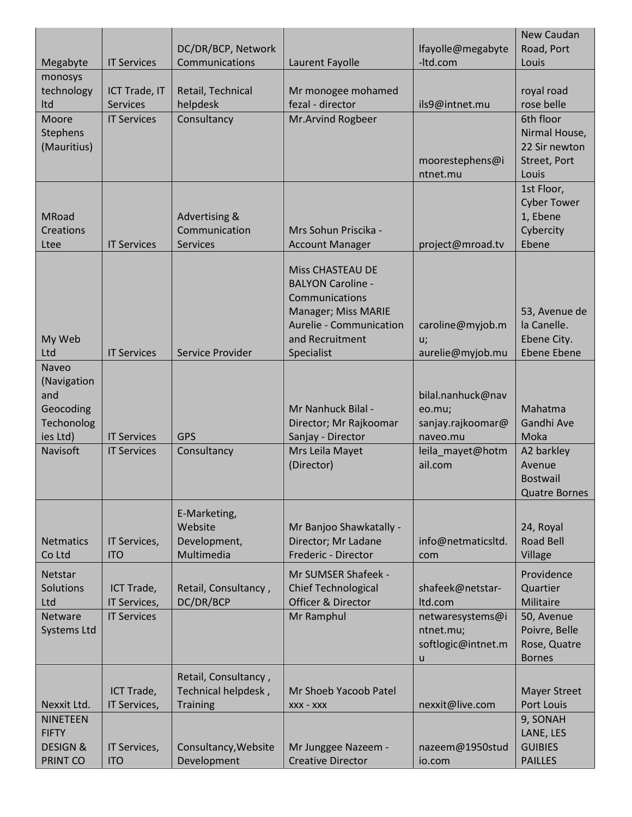|                     |                    |                      |                               |                    | New Caudan                       |
|---------------------|--------------------|----------------------|-------------------------------|--------------------|----------------------------------|
|                     |                    | DC/DR/BCP, Network   |                               | lfayolle@megabyte  | Road, Port                       |
| Megabyte            | <b>IT Services</b> | Communications       | Laurent Fayolle               | -Itd.com           | Louis                            |
| monosys             |                    |                      |                               |                    |                                  |
| technology          | ICT Trade, IT      | Retail, Technical    | Mr monogee mohamed            |                    | royal road                       |
| Itd                 | <b>Services</b>    | helpdesk             | fezal - director              | ils9@intnet.mu     | rose belle                       |
| Moore               | <b>IT Services</b> | Consultancy          | Mr.Arvind Rogbeer             |                    | 6th floor                        |
| Stephens            |                    |                      |                               |                    | Nirmal House,                    |
| (Mauritius)         |                    |                      |                               |                    | 22 Sir newton                    |
|                     |                    |                      |                               | moorestephens@i    | Street, Port                     |
|                     |                    |                      |                               | ntnet.mu           | Louis                            |
|                     |                    |                      |                               |                    | 1st Floor,<br><b>Cyber Tower</b> |
| <b>MRoad</b>        |                    | Advertising &        |                               |                    | 1, Ebene                         |
| <b>Creations</b>    |                    | Communication        | Mrs Sohun Priscika -          |                    | Cybercity                        |
| Ltee                | <b>IT Services</b> | Services             | <b>Account Manager</b>        | project@mroad.tv   | Ebene                            |
|                     |                    |                      |                               |                    |                                  |
|                     |                    |                      | <b>Miss CHASTEAU DE</b>       |                    |                                  |
|                     |                    |                      | <b>BALYON Caroline -</b>      |                    |                                  |
|                     |                    |                      | Communications                |                    |                                  |
|                     |                    |                      | Manager; Miss MARIE           |                    | 53, Avenue de                    |
|                     |                    |                      | Aurelie - Communication       | caroline@myjob.m   | la Canelle.                      |
| My Web              |                    |                      | and Recruitment               | u;                 | Ebene City.                      |
| Ltd                 | <b>IT Services</b> | Service Provider     | Specialist                    | aurelie@myjob.mu   | <b>Ebene Ebene</b>               |
| Naveo               |                    |                      |                               |                    |                                  |
| (Navigation         |                    |                      |                               |                    |                                  |
| and                 |                    |                      |                               | bilal.nanhuck@nav  |                                  |
| Geocoding           |                    |                      | Mr Nanhuck Bilal -            | eo.mu;             | Mahatma                          |
| Techonolog          |                    |                      | Director; Mr Rajkoomar        | sanjay.rajkoomar@  | Gandhi Ave                       |
| ies Ltd)            | <b>IT Services</b> | <b>GPS</b>           | Sanjay - Director             | naveo.mu           | Moka                             |
| Navisoft            | <b>IT Services</b> | Consultancy          | Mrs Leila Mayet               | leila mayet@hotm   | A2 barkley                       |
|                     |                    |                      | (Director)                    | ail.com            | Avenue                           |
|                     |                    |                      |                               |                    | <b>Bostwail</b>                  |
|                     |                    |                      |                               |                    | <b>Quatre Bornes</b>             |
|                     |                    | E-Marketing,         |                               |                    |                                  |
|                     |                    | Website              | Mr Banjoo Shawkatally -       |                    | 24, Royal                        |
| <b>Netmatics</b>    | IT Services,       | Development,         | Director; Mr Ladane           | info@netmaticsltd. | <b>Road Bell</b>                 |
| Co Ltd              | <b>ITO</b>         | Multimedia           | Frederic - Director           | com                | Village                          |
| Netstar             |                    |                      | Mr SUMSER Shafeek -           |                    | Providence                       |
| Solutions           | ICT Trade,         | Retail, Consultancy, | <b>Chief Technological</b>    | shafeek@netstar-   | Quartier                         |
| Ltd                 | IT Services,       | DC/DR/BCP            | <b>Officer &amp; Director</b> | Itd.com            | Militaire                        |
| Netware             | <b>IT Services</b> |                      | Mr Ramphul                    | netwaresystems@i   | 50, Avenue                       |
| <b>Systems Ltd</b>  |                    |                      |                               | ntnet.mu;          | Poivre, Belle                    |
|                     |                    |                      |                               | softlogic@intnet.m | Rose, Quatre                     |
|                     |                    |                      |                               | u                  | <b>Bornes</b>                    |
|                     |                    | Retail, Consultancy, |                               |                    |                                  |
|                     | ICT Trade,         | Technical helpdesk,  | Mr Shoeb Yacoob Patel         |                    | <b>Mayer Street</b>              |
| Nexxit Ltd.         | IT Services,       | <b>Training</b>      | XXX - XXX                     | nexxit@live.com    | Port Louis                       |
| <b>NINETEEN</b>     |                    |                      |                               |                    | 9, SONAH                         |
| <b>FIFTY</b>        |                    |                      |                               |                    | LANE, LES                        |
| <b>DESIGN &amp;</b> | IT Services,       | Consultancy, Website | Mr Junggee Nazeem -           | nazeem@1950stud    | <b>GUIBIES</b>                   |
| PRINT CO            | <b>ITO</b>         | Development          | <b>Creative Director</b>      | io.com             | <b>PAILLES</b>                   |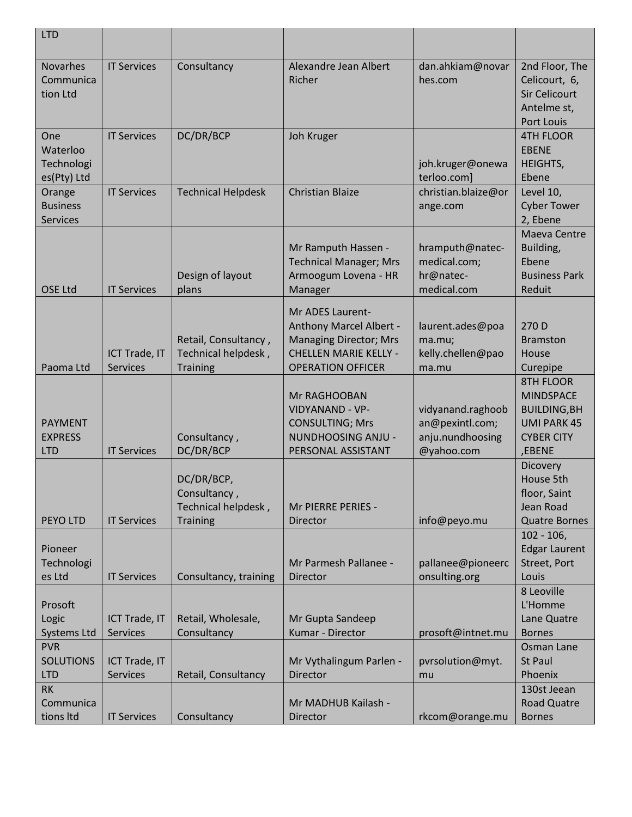| <b>LTD</b>                                                |                                  |                                                                |                                                                                                                                          |                                                                        |                                                                                                                  |
|-----------------------------------------------------------|----------------------------------|----------------------------------------------------------------|------------------------------------------------------------------------------------------------------------------------------------------|------------------------------------------------------------------------|------------------------------------------------------------------------------------------------------------------|
| <b>Novarhes</b><br>Communica<br>tion Ltd                  | <b>IT Services</b>               | Consultancy                                                    | Alexandre Jean Albert<br>Richer                                                                                                          | dan.ahkiam@novar<br>hes.com                                            | 2nd Floor, The<br>Celicourt, 6,<br><b>Sir Celicourt</b><br>Antelme st,<br>Port Louis                             |
| One<br>Waterloo<br>Technologi<br>es(Pty) Ltd              | <b>IT Services</b>               | DC/DR/BCP                                                      | Joh Kruger                                                                                                                               | joh.kruger@onewa<br>terloo.com]                                        | <b>4TH FLOOR</b><br><b>EBENE</b><br><b>HEIGHTS,</b><br>Ebene                                                     |
| Orange<br><b>Business</b><br>Services                     | <b>IT Services</b>               | <b>Technical Helpdesk</b>                                      | <b>Christian Blaize</b>                                                                                                                  | christian.blaize@or<br>ange.com                                        | Level 10,<br><b>Cyber Tower</b><br>2, Ebene                                                                      |
| <b>OSE Ltd</b>                                            | <b>IT Services</b>               | Design of layout<br>plans                                      | Mr Ramputh Hassen -<br><b>Technical Manager; Mrs</b><br>Armoogum Lovena - HR<br>Manager                                                  | hramputh@natec-<br>medical.com;<br>hr@natec-<br>medical.com            | Maeva Centre<br>Building,<br>Ebene<br><b>Business Park</b><br>Reduit                                             |
| Paoma Ltd                                                 | ICT Trade, IT<br><b>Services</b> | Retail, Consultancy,<br>Technical helpdesk,<br><b>Training</b> | Mr ADES Laurent-<br>Anthony Marcel Albert -<br><b>Managing Director; Mrs</b><br><b>CHELLEN MARIE KELLY -</b><br><b>OPERATION OFFICER</b> | laurent.ades@poa<br>ma.mu;<br>kelly.chellen@pao<br>ma.mu               | 270 D<br><b>Bramston</b><br>House<br>Curepipe                                                                    |
| <b>PAYMENT</b><br><b>EXPRESS</b><br><b>LTD</b>            | <b>IT Services</b>               | Consultancy,<br>DC/DR/BCP                                      | Mr RAGHOOBAN<br><b>VIDYANAND - VP-</b><br><b>CONSULTING; Mrs</b><br>NUNDHOOSING ANJU -<br>PERSONAL ASSISTANT                             | vidyanand.raghoob<br>an@pexintl.com;<br>anju.nundhoosing<br>@yahoo.com | <b>8TH FLOOR</b><br><b>MINDSPACE</b><br><b>BUILDING, BH</b><br><b>UMI PARK 45</b><br><b>CYBER CITY</b><br>,EBENE |
| <b>PEYO LTD</b>                                           | <b>IT Services</b>               | DC/DR/BCP,<br>Consultancy,<br>Technical helpdesk,<br>Training  | Mr PIERRE PERIES -<br>Director                                                                                                           | info@peyo.mu                                                           | <b>Dicovery</b><br>House 5th<br>floor, Saint<br>Jean Road<br><b>Quatre Bornes</b>                                |
| Pioneer<br>Technologi<br>es Ltd                           | <b>IT Services</b>               | Consultancy, training                                          | Mr Parmesh Pallanee -<br>Director                                                                                                        | pallanee@pioneerc<br>onsulting.org                                     | $102 - 106$<br><b>Edgar Laurent</b><br>Street, Port<br>Louis                                                     |
| Prosoft<br>Logic<br><b>Systems Ltd</b>                    | ICT Trade, IT<br><b>Services</b> | Retail, Wholesale,<br>Consultancy                              | Mr Gupta Sandeep<br>Kumar - Director                                                                                                     | prosoft@intnet.mu                                                      | 8 Leoville<br>L'Homme<br>Lane Quatre<br><b>Bornes</b>                                                            |
| <b>PVR</b><br><b>SOLUTIONS</b><br><b>LTD</b><br><b>RK</b> | ICT Trade, IT<br><b>Services</b> | Retail, Consultancy                                            | Mr Vythalingum Parlen -<br>Director                                                                                                      | pvrsolution@myt.<br>mu                                                 | Osman Lane<br><b>St Paul</b><br>Phoenix<br>130st Jeean                                                           |
| Communica<br>tions Itd                                    | <b>IT Services</b>               | Consultancy                                                    | Mr MADHUB Kailash -<br>Director                                                                                                          | rkcom@orange.mu                                                        | <b>Road Quatre</b><br><b>Bornes</b>                                                                              |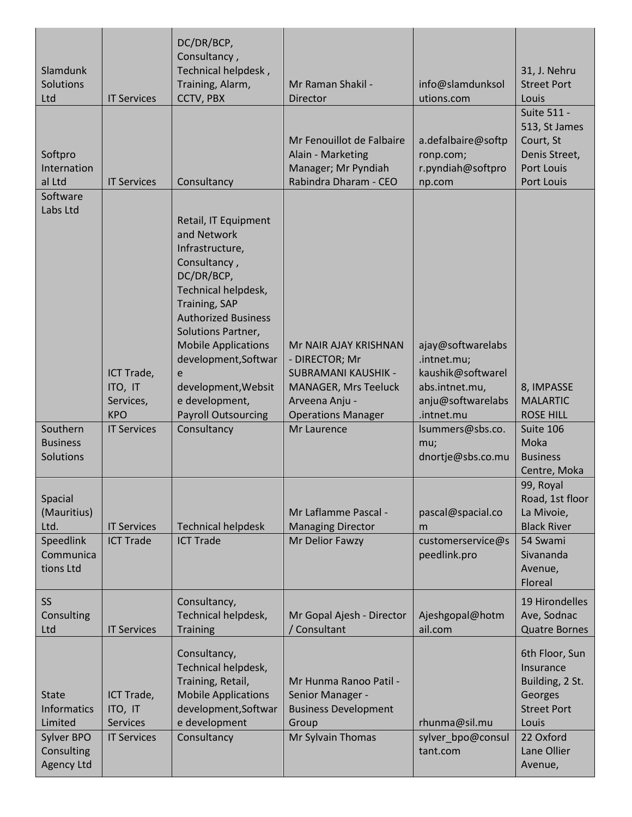| Slamdunk<br>Solutions<br>Ltd                                                                   | <b>IT Services</b>                                      | DC/DR/BCP,<br>Consultancy,<br>Technical helpdesk,<br>Training, Alarm,<br>CCTV, PBX                                                                                                                                                                                                                                        | Mr Raman Shakil -<br>Director                                                                                                                       | info@slamdunksol<br>utions.com                                                                             | 31, J. Nehru<br><b>Street Port</b><br>Louis                                                                                     |
|------------------------------------------------------------------------------------------------|---------------------------------------------------------|---------------------------------------------------------------------------------------------------------------------------------------------------------------------------------------------------------------------------------------------------------------------------------------------------------------------------|-----------------------------------------------------------------------------------------------------------------------------------------------------|------------------------------------------------------------------------------------------------------------|---------------------------------------------------------------------------------------------------------------------------------|
| Softpro<br>Internation<br>al Ltd                                                               | <b>IT Services</b>                                      | Consultancy                                                                                                                                                                                                                                                                                                               | Mr Fenouillot de Falbaire<br>Alain - Marketing<br>Manager; Mr Pyndiah<br>Rabindra Dharam - CEO                                                      | a.defalbaire@softp<br>ronp.com;<br>r.pyndiah@softpro<br>np.com                                             | Suite 511 -<br>513, St James<br>Court, St<br>Denis Street,<br><b>Port Louis</b><br>Port Louis                                   |
| Software<br>Labs Ltd                                                                           | ICT Trade,<br>ITO, IT<br>Services,<br><b>KPO</b>        | Retail, IT Equipment<br>and Network<br>Infrastructure,<br>Consultancy,<br>DC/DR/BCP,<br>Technical helpdesk,<br><b>Training, SAP</b><br><b>Authorized Business</b><br>Solutions Partner,<br><b>Mobile Applications</b><br>development, Softwar<br>e<br>development, Websit<br>e development,<br><b>Payroll Outsourcing</b> | Mr NAIR AJAY KRISHNAN<br>- DIRECTOR; Mr<br><b>SUBRAMANI KAUSHIK -</b><br><b>MANAGER, Mrs Teeluck</b><br>Arveena Anju -<br><b>Operations Manager</b> | ajay@softwarelabs<br>.intnet.mu;<br>kaushik@softwarel<br>abs.intnet.mu,<br>anju@softwarelabs<br>.intnet.mu | 8, IMPASSE<br><b>MALARTIC</b><br><b>ROSE HILL</b>                                                                               |
| Southern<br><b>Business</b><br>Solutions                                                       | <b>IT Services</b>                                      | Consultancy                                                                                                                                                                                                                                                                                                               | Mr Laurence                                                                                                                                         | lsummers@sbs.co.<br>mu;<br>dnortje@sbs.co.mu                                                               | Suite 106<br>Moka<br><b>Business</b><br>Centre, Moka                                                                            |
| Spacial<br>(Mauritius)<br>Ltd.<br>Speedlink<br>Communica<br>tions Ltd                          | <b>IT Services</b><br><b>ICT Trade</b>                  | <b>Technical helpdesk</b><br><b>ICT Trade</b>                                                                                                                                                                                                                                                                             | Mr Laflamme Pascal -<br><b>Managing Director</b><br>Mr Delior Fawzy                                                                                 | pascal@spacial.co<br>m<br>customerservice@s<br>peedlink.pro                                                | 99, Royal<br>Road, 1st floor<br>La Mivoie,<br><b>Black River</b><br>54 Swami<br>Sivananda<br>Avenue,<br>Floreal                 |
| SS<br>Consulting<br>Ltd                                                                        | <b>IT Services</b>                                      | Consultancy,<br>Technical helpdesk,<br><b>Training</b>                                                                                                                                                                                                                                                                    | Mr Gopal Ajesh - Director<br>/ Consultant                                                                                                           | Ajeshgopal@hotm<br>ail.com                                                                                 | 19 Hirondelles<br>Ave, Sodnac<br><b>Quatre Bornes</b>                                                                           |
| <b>State</b><br><b>Informatics</b><br>Limited<br>Sylver BPO<br>Consulting<br><b>Agency Ltd</b> | ICT Trade,<br>ITO, IT<br>Services<br><b>IT Services</b> | Consultancy,<br>Technical helpdesk,<br>Training, Retail,<br><b>Mobile Applications</b><br>development, Softwar<br>e development<br>Consultancy                                                                                                                                                                            | Mr Hunma Ranoo Patil -<br>Senior Manager -<br><b>Business Development</b><br>Group<br>Mr Sylvain Thomas                                             | rhunma@sil.mu<br>sylver_bpo@consul<br>tant.com                                                             | 6th Floor, Sun<br>Insurance<br>Building, 2 St.<br>Georges<br><b>Street Port</b><br>Louis<br>22 Oxford<br>Lane Ollier<br>Avenue, |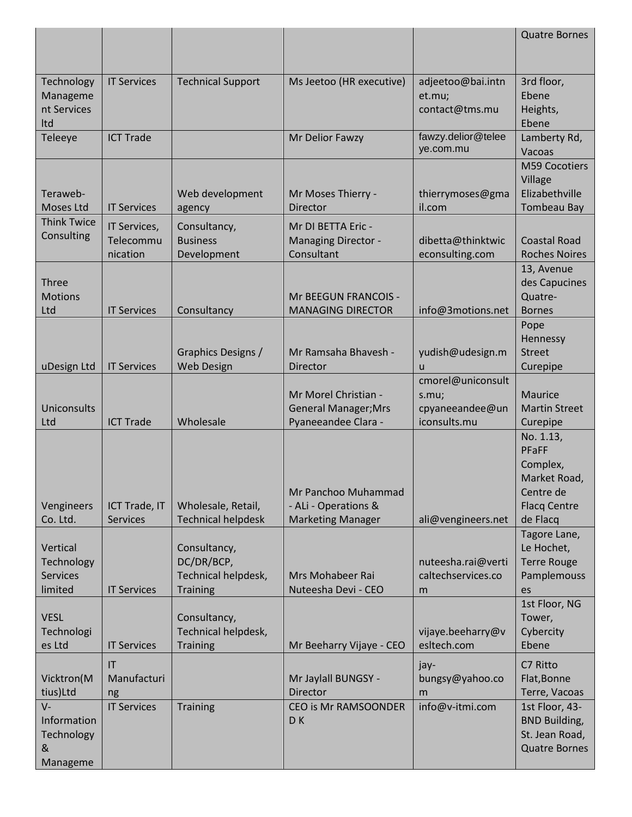|                                                      |                                       |                                                                      |                                                                            |                                                               | <b>Quatre Bornes</b>                                                                           |
|------------------------------------------------------|---------------------------------------|----------------------------------------------------------------------|----------------------------------------------------------------------------|---------------------------------------------------------------|------------------------------------------------------------------------------------------------|
| Technology<br>Manageme<br>nt Services<br>Itd         | <b>IT Services</b>                    | <b>Technical Support</b>                                             | Ms Jeetoo (HR executive)                                                   | adjeetoo@bai.intn<br>et.mu;<br>contact@tms.mu                 | 3rd floor,<br>Ebene<br>Heights,<br>Ebene                                                       |
| Teleeye                                              | <b>ICT Trade</b>                      |                                                                      | Mr Delior Fawzy                                                            | fawzy.delior@telee<br>ye.com.mu                               | Lamberty Rd,<br>Vacoas                                                                         |
| Teraweb-<br>Moses Ltd                                | <b>IT Services</b>                    | Web development<br>agency                                            | Mr Moses Thierry -<br>Director                                             | thierrymoses@gma<br>il.com                                    | M59 Cocotiers<br>Village<br>Elizabethville<br><b>Tombeau Bay</b>                               |
| <b>Think Twice</b><br>Consulting                     | IT Services,<br>Telecommu<br>nication | Consultancy,<br><b>Business</b><br>Development                       | Mr DI BETTA Eric -<br><b>Managing Director -</b><br>Consultant             | dibetta@thinktwic<br>econsulting.com                          | <b>Coastal Road</b><br><b>Roches Noires</b>                                                    |
| <b>Three</b><br><b>Motions</b><br>Ltd                | <b>IT Services</b>                    | Consultancy                                                          | Mr BEEGUN FRANCOIS -<br><b>MANAGING DIRECTOR</b>                           | info@3motions.net                                             | 13, Avenue<br>des Capucines<br>Quatre-<br><b>Bornes</b>                                        |
| uDesign Ltd                                          | <b>IT Services</b>                    | Graphics Designs /<br><b>Web Design</b>                              | Mr Ramsaha Bhavesh -<br>Director                                           | yudish@udesign.m<br>$\mathsf{u}$                              | Pope<br>Hennessy<br><b>Street</b><br>Curepipe                                                  |
| Uniconsults<br>Ltd                                   | <b>ICT Trade</b>                      | Wholesale                                                            | Mr Morel Christian -<br><b>General Manager; Mrs</b><br>Pyaneeandee Clara - | cmorel@uniconsult<br>s.mu;<br>cpyaneeandee@un<br>iconsults.mu | <b>Maurice</b><br><b>Martin Street</b><br>Curepipe                                             |
| Vengineers<br>Co. Ltd.                               | ICT Trade, IT<br><b>Services</b>      | Wholesale, Retail,<br><b>Technical helpdesk</b>                      | Mr Panchoo Muhammad<br>- ALi - Operations &<br><b>Marketing Manager</b>    | ali@vengineers.net                                            | No. 1.13,<br>PFaFF<br>Complex,<br>Market Road,<br>Centre de<br><b>Flacq Centre</b><br>de Flacq |
| Vertical<br>Technology<br><b>Services</b><br>limited | <b>IT Services</b>                    | Consultancy,<br>DC/DR/BCP,<br>Technical helpdesk,<br><b>Training</b> | Mrs Mohabeer Rai<br>Nuteesha Devi - CEO                                    | nuteesha.rai@verti<br>caltechservices.co<br>m                 | Tagore Lane,<br>Le Hochet,<br><b>Terre Rouge</b><br>Pamplemouss<br>es                          |
| <b>VESL</b><br>Technologi<br>es Ltd                  | <b>IT Services</b>                    | Consultancy,<br>Technical helpdesk,<br><b>Training</b>               | Mr Beeharry Vijaye - CEO                                                   | vijaye.beeharry@v<br>esltech.com                              | 1st Floor, NG<br>Tower,<br>Cybercity<br>Ebene                                                  |
| Vicktron(M<br>tius)Ltd                               | IT<br>Manufacturi<br>ng               |                                                                      | Mr Jaylall BUNGSY -<br>Director                                            | jay-<br>bungsy@yahoo.co<br>m                                  | C7 Ritto<br>Flat, Bonne<br>Terre, Vacoas                                                       |
| $V -$<br>Information<br>Technology<br>&<br>Manageme  | <b>IT Services</b>                    | <b>Training</b>                                                      | <b>CEO is Mr RAMSOONDER</b><br>DK                                          | info@v-itmi.com                                               | 1st Floor, 43-<br><b>BND Building,</b><br>St. Jean Road,<br><b>Quatre Bornes</b>               |